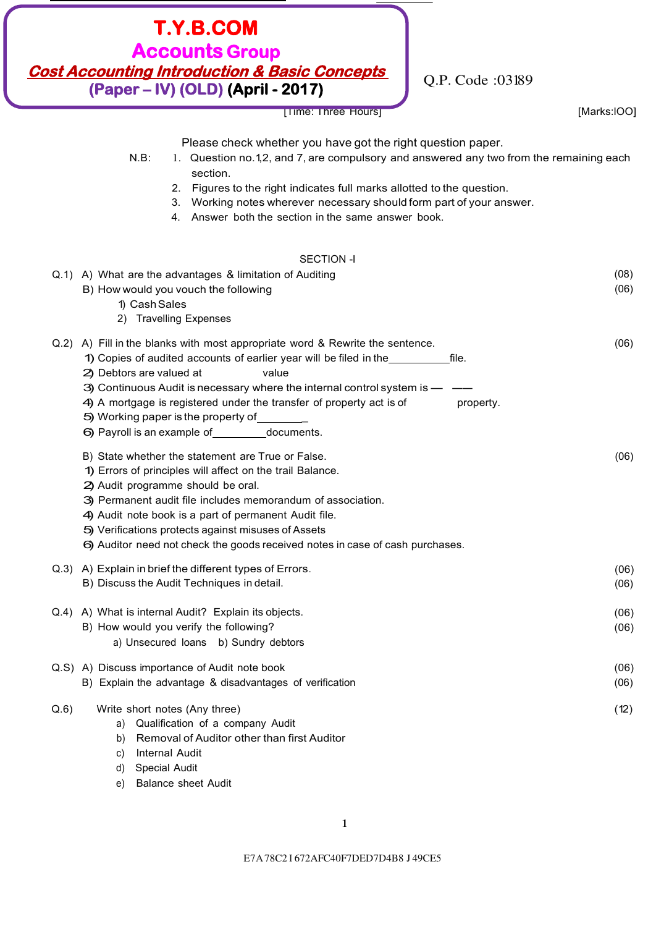# Q.P. Code :03189 [Time: Three Hours] [Marks:lOO] **T.Y.B.COM Accounts Group Cost Accounting Introduction & Basic Concepts (Paper – IV) (OLD) (April - 2017)**

|  | [Marks:IOO] |  |  |
|--|-------------|--|--|
|  |             |  |  |

Please check whether you have got the right question paper.

| $N.B$ : | 1. Question no.1,2, and 7, are compulsory and answered any two from the remaining each |
|---------|----------------------------------------------------------------------------------------|
|         | section.                                                                               |

- 2. Figures to the right indicates full marks allotted to the question.
- 3. Working notes wherever necessary should form part of your answer.
- 4. Answer both the section in the same answer book.

## SECTION -I

|      | <b>PECTION -1</b>                                                                 |      |
|------|-----------------------------------------------------------------------------------|------|
|      | Q.1) A) What are the advantages & limitation of Auditing                          | (08) |
|      | B) How would you vouch the following                                              | (06) |
|      | 1) Cash Sales                                                                     |      |
|      | 2) Travelling Expenses                                                            |      |
|      | Q.2) A) Fill in the blanks with most appropriate word & Rewrite the sentence.     | (06) |
|      | 1) Copies of audited accounts of earlier year will be filed in the<br>file.       |      |
|      | 2) Debtors are valued at<br>value                                                 |      |
|      | 3) Continuous Audit is necessary where the internal control system is - -         |      |
|      | 4) A mortgage is registered under the transfer of property act is of<br>property. |      |
|      | 5) Working paper is the property of                                               |      |
|      | 6) Payroll is an example of documents.                                            |      |
|      | B) State whether the statement are True or False.                                 | (06) |
|      | 1) Errors of principles will affect on the trail Balance.                         |      |
|      | 2) Audit programme should be oral.                                                |      |
|      | 3) Permanent audit file includes memorandum of association.                       |      |
|      | 4) Audit note book is a part of permanent Audit file.                             |      |
|      | 5) Verifications protects against misuses of Assets                               |      |
|      | 6) Auditor need not check the goods received notes in case of cash purchases.     |      |
|      | Q.3) A) Explain in brief the different types of Errors.                           | (06) |
|      | B) Discuss the Audit Techniques in detail.                                        | (06) |
|      | Q.4) A) What is internal Audit? Explain its objects.                              | (06) |
|      | B) How would you verify the following?                                            | (06) |
|      | a) Unsecured loans b) Sundry debtors                                              |      |
|      | Q.S) A) Discuss importance of Audit note book                                     | (06) |
|      | B) Explain the advantage & disadvantages of verification                          | (06) |
| Q.6) | Write short notes (Any three)                                                     | (12) |
|      | a) Qualification of a company Audit                                               |      |
|      | Removal of Auditor other than first Auditor<br>b)                                 |      |
|      | <b>Internal Audit</b><br>C)                                                       |      |
|      |                                                                                   |      |

- d) Special Audit
- e) Balance sheet Audit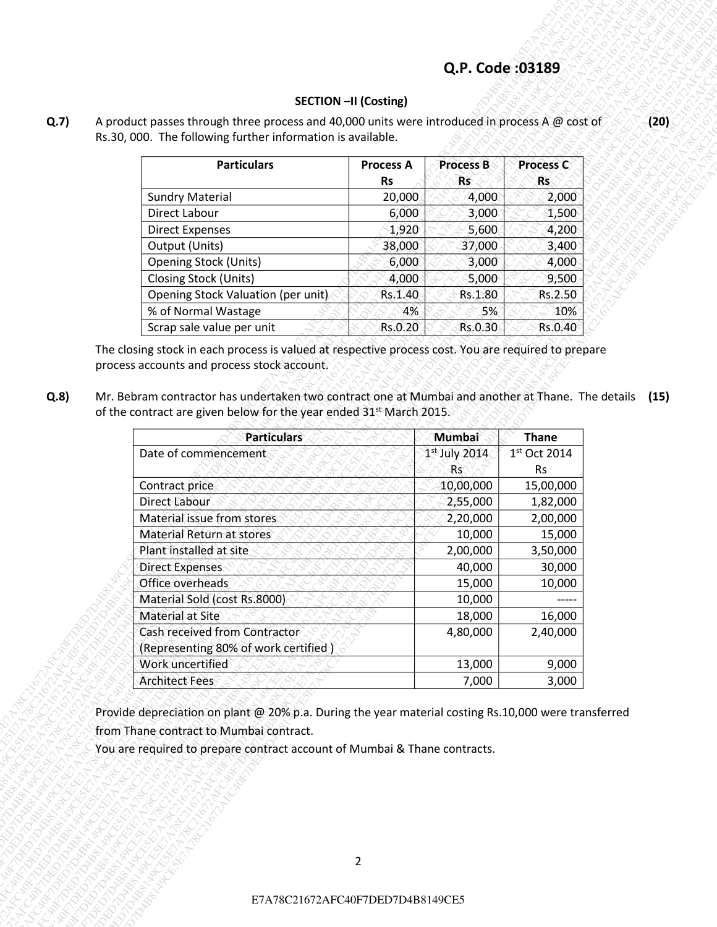#### **SECTION –II (Costing)**

| <b>Particulars</b>                 | <b>Process A</b><br>Rs | <b>Process B</b><br>Rs | <b>Process C</b><br><b>Rs</b> |
|------------------------------------|------------------------|------------------------|-------------------------------|
| <b>Sundry Material</b>             | 20,000                 | 4,000                  | 2,000                         |
| Direct Labour                      | 6,000                  | 3,000                  | 1,500                         |
| <b>Direct Expenses</b>             | 1,920                  | 5,600                  | 4,200                         |
| Output (Units)                     | 38,000                 | 37,000                 | 3,400                         |
| <b>Opening Stock (Units)</b>       | 6,000                  | 3,000                  | 4,000                         |
| <b>Closing Stock (Units)</b>       | 4,000                  | 5,000                  | 9,500                         |
| Opening Stock Valuation (per unit) | Rs.1.40                | Rs.1.80                | Rs.2.50                       |
| % of Normal Wastage                | 4%                     | 5%                     | 10%                           |
| Scrap sale value per unit          | Rs.0.20                | Rs.0.30                | Rs.0.40                       |

|                                                |                                                                                                                                                                                                                                                                                                                                                                       |                               | Q.P. Code: 03189              |                                   |
|------------------------------------------------|-----------------------------------------------------------------------------------------------------------------------------------------------------------------------------------------------------------------------------------------------------------------------------------------------------------------------------------------------------------------------|-------------------------------|-------------------------------|-----------------------------------|
|                                                |                                                                                                                                                                                                                                                                                                                                                                       | <b>SECTION -II (Costing)</b>  |                               |                                   |
|                                                | A product passes through three process and 40,000 units were introduced in process A $@$ cost of<br>Rs.30, 000. The following further information is available.                                                                                                                                                                                                       |                               |                               |                                   |
|                                                | <b>Particulars</b>                                                                                                                                                                                                                                                                                                                                                    |                               |                               |                                   |
|                                                |                                                                                                                                                                                                                                                                                                                                                                       | <b>Process A</b><br><b>Rs</b> | <b>Process B</b><br><b>Rs</b> | Process C<br><b>Rs</b>            |
| <b>Sundry Material</b>                         |                                                                                                                                                                                                                                                                                                                                                                       | 20,000                        | 4,000                         | 2,000                             |
| Direct Labour                                  |                                                                                                                                                                                                                                                                                                                                                                       | 6,000                         | 3,000                         | 1,500                             |
| <b>Direct Expenses</b>                         |                                                                                                                                                                                                                                                                                                                                                                       | 1,920                         | 5,600                         | 4,200                             |
| Output (Units)<br><b>Opening Stock (Units)</b> |                                                                                                                                                                                                                                                                                                                                                                       | 38,000<br>6,000               | 37,000<br>3,000               | 3,400<br>4,000                    |
| Closing Stock (Units)                          |                                                                                                                                                                                                                                                                                                                                                                       | 4,000                         | 5,000                         | 9,500                             |
|                                                | Opening Stock Valuation (per unit)                                                                                                                                                                                                                                                                                                                                    | Rs.1.40                       | Rs.1.80                       | Rs.2.50                           |
| % of Normal Wastage                            |                                                                                                                                                                                                                                                                                                                                                                       | 4%                            | 5%                            | 10%                               |
|                                                | Scrap sale value per unit                                                                                                                                                                                                                                                                                                                                             | Rs.0.20                       | Rs.0.30                       | Rs.0.40                           |
|                                                | The closing stock in each process is valued at respective process cost. You are required to prepare<br>process accounts and process stock account.<br>Mr. Bebram contractor has undertaken two contract one at Mumbai and another at Thane. The details (15)<br>of the contract are given below for the year ended 31 <sup>st</sup> March 2015.<br><b>Particulars</b> |                               | Mumbai                        | <b>Thane</b>                      |
| Date of commencement                           |                                                                                                                                                                                                                                                                                                                                                                       |                               | $1st$ July 2014               | $1st$ Oct 2014                    |
|                                                |                                                                                                                                                                                                                                                                                                                                                                       |                               | Rs.                           | <b>Rs</b>                         |
| Contract price<br>Direct Labour                |                                                                                                                                                                                                                                                                                                                                                                       |                               | 10,00,000<br>2,55,000         |                                   |
| Material issue from stores                     |                                                                                                                                                                                                                                                                                                                                                                       |                               | 2,20,000                      | 15,00,000<br>1,82,000<br>2,00,000 |
| Material Return at stores                      |                                                                                                                                                                                                                                                                                                                                                                       |                               | 10,000                        |                                   |
| Plant installed at site                        |                                                                                                                                                                                                                                                                                                                                                                       |                               | 2,00,000                      | 15,000<br>3,50,000                |
| <b>Direct Expenses</b><br>Office overheads     |                                                                                                                                                                                                                                                                                                                                                                       |                               | 40,000<br>15,000              | 30,000<br>10,000                  |
|                                                | Material Sold (cost Rs.8000)                                                                                                                                                                                                                                                                                                                                          |                               | 10,000                        |                                   |
| <b>Material at Site</b>                        |                                                                                                                                                                                                                                                                                                                                                                       |                               | 18,000                        | 16,000                            |
|                                                | Cash received from Contractor                                                                                                                                                                                                                                                                                                                                         |                               | 4,80,000                      | 2,40,000                          |
| Work uncertified                               | (Representing 80% of work certified)                                                                                                                                                                                                                                                                                                                                  |                               | 13,000                        | 9,000                             |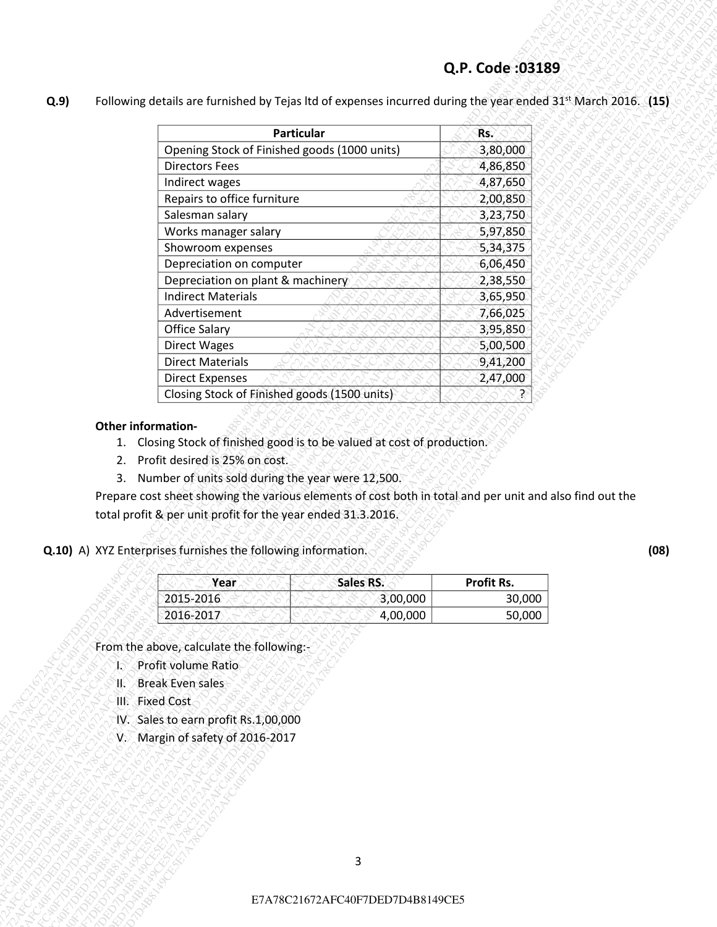| Particular<br>Rs.<br>Opening Stock of Finished goods (1000 units)<br>3,80,000<br><b>Directors Fees</b><br>4,86,850<br>4,87,650<br>Indirect wages<br>Repairs to office furniture<br>2,00,850<br>Salesman salary<br>3,23,750<br>Works manager salary<br>5,97,850<br>Showroom expenses<br>5,34,375<br>Depreciation on computer<br>6,06,450<br>Depreciation on plant & machinery<br>2,38,550<br><b>Indirect Materials</b><br>3,65,950<br>7,66,025<br>Advertisement<br><b>Office Salary</b><br>3,95,850<br>5,00,500<br><b>Direct Wages</b><br><b>Direct Materials</b><br>9,41,200<br><b>Direct Expenses</b><br>2,47,000<br>Closing Stock of Finished goods (1500 units)<br>₹<br>Other information-<br>1. Closing Stock of finished good is to be valued at cost of production.<br>Profit desired is 25% on cost.<br>2.<br>3. Number of units sold during the year were 12,500.<br>Prepare cost sheet showing the various elements of cost both in total and per unit and also find out the<br>total profit & per unit profit for the year ended 31.3.2016.<br>Q.10) A) XYZ Enterprises furnishes the following information.<br><b>Sales RS.</b><br>Profit Rs.<br>Year<br>2015-2016<br>3,00,000<br>30,000<br>2016-2017<br>4,00,000<br>50,000<br>From the above, calculate the following:-<br>Profit volume Ratio<br>b<br><b>Break Even sales</b><br>K.<br>III. Fixed Cost<br>IV. Sales to earn profit Rs.1,00,000<br>V. Margin of safety of 2016-2017<br>3<br>E7A78C21672AFC40F7DED7D4B8149CE5 | Q.9 | Following details are furnished by Tejas Itd of expenses incurred during the year ended $31^{st}$ March 2016. (15) |  |
|------------------------------------------------------------------------------------------------------------------------------------------------------------------------------------------------------------------------------------------------------------------------------------------------------------------------------------------------------------------------------------------------------------------------------------------------------------------------------------------------------------------------------------------------------------------------------------------------------------------------------------------------------------------------------------------------------------------------------------------------------------------------------------------------------------------------------------------------------------------------------------------------------------------------------------------------------------------------------------------------------------------------------------------------------------------------------------------------------------------------------------------------------------------------------------------------------------------------------------------------------------------------------------------------------------------------------------------------------------------------------------------------------------------------------------------------------------------------------------------|-----|--------------------------------------------------------------------------------------------------------------------|--|
|                                                                                                                                                                                                                                                                                                                                                                                                                                                                                                                                                                                                                                                                                                                                                                                                                                                                                                                                                                                                                                                                                                                                                                                                                                                                                                                                                                                                                                                                                          |     |                                                                                                                    |  |
|                                                                                                                                                                                                                                                                                                                                                                                                                                                                                                                                                                                                                                                                                                                                                                                                                                                                                                                                                                                                                                                                                                                                                                                                                                                                                                                                                                                                                                                                                          |     |                                                                                                                    |  |
|                                                                                                                                                                                                                                                                                                                                                                                                                                                                                                                                                                                                                                                                                                                                                                                                                                                                                                                                                                                                                                                                                                                                                                                                                                                                                                                                                                                                                                                                                          |     |                                                                                                                    |  |
|                                                                                                                                                                                                                                                                                                                                                                                                                                                                                                                                                                                                                                                                                                                                                                                                                                                                                                                                                                                                                                                                                                                                                                                                                                                                                                                                                                                                                                                                                          |     |                                                                                                                    |  |
|                                                                                                                                                                                                                                                                                                                                                                                                                                                                                                                                                                                                                                                                                                                                                                                                                                                                                                                                                                                                                                                                                                                                                                                                                                                                                                                                                                                                                                                                                          |     |                                                                                                                    |  |
|                                                                                                                                                                                                                                                                                                                                                                                                                                                                                                                                                                                                                                                                                                                                                                                                                                                                                                                                                                                                                                                                                                                                                                                                                                                                                                                                                                                                                                                                                          |     |                                                                                                                    |  |
|                                                                                                                                                                                                                                                                                                                                                                                                                                                                                                                                                                                                                                                                                                                                                                                                                                                                                                                                                                                                                                                                                                                                                                                                                                                                                                                                                                                                                                                                                          |     |                                                                                                                    |  |
|                                                                                                                                                                                                                                                                                                                                                                                                                                                                                                                                                                                                                                                                                                                                                                                                                                                                                                                                                                                                                                                                                                                                                                                                                                                                                                                                                                                                                                                                                          |     |                                                                                                                    |  |
|                                                                                                                                                                                                                                                                                                                                                                                                                                                                                                                                                                                                                                                                                                                                                                                                                                                                                                                                                                                                                                                                                                                                                                                                                                                                                                                                                                                                                                                                                          |     |                                                                                                                    |  |
|                                                                                                                                                                                                                                                                                                                                                                                                                                                                                                                                                                                                                                                                                                                                                                                                                                                                                                                                                                                                                                                                                                                                                                                                                                                                                                                                                                                                                                                                                          |     |                                                                                                                    |  |
|                                                                                                                                                                                                                                                                                                                                                                                                                                                                                                                                                                                                                                                                                                                                                                                                                                                                                                                                                                                                                                                                                                                                                                                                                                                                                                                                                                                                                                                                                          |     |                                                                                                                    |  |
|                                                                                                                                                                                                                                                                                                                                                                                                                                                                                                                                                                                                                                                                                                                                                                                                                                                                                                                                                                                                                                                                                                                                                                                                                                                                                                                                                                                                                                                                                          |     |                                                                                                                    |  |
|                                                                                                                                                                                                                                                                                                                                                                                                                                                                                                                                                                                                                                                                                                                                                                                                                                                                                                                                                                                                                                                                                                                                                                                                                                                                                                                                                                                                                                                                                          |     |                                                                                                                    |  |
|                                                                                                                                                                                                                                                                                                                                                                                                                                                                                                                                                                                                                                                                                                                                                                                                                                                                                                                                                                                                                                                                                                                                                                                                                                                                                                                                                                                                                                                                                          |     |                                                                                                                    |  |
|                                                                                                                                                                                                                                                                                                                                                                                                                                                                                                                                                                                                                                                                                                                                                                                                                                                                                                                                                                                                                                                                                                                                                                                                                                                                                                                                                                                                                                                                                          |     |                                                                                                                    |  |
|                                                                                                                                                                                                                                                                                                                                                                                                                                                                                                                                                                                                                                                                                                                                                                                                                                                                                                                                                                                                                                                                                                                                                                                                                                                                                                                                                                                                                                                                                          |     |                                                                                                                    |  |
|                                                                                                                                                                                                                                                                                                                                                                                                                                                                                                                                                                                                                                                                                                                                                                                                                                                                                                                                                                                                                                                                                                                                                                                                                                                                                                                                                                                                                                                                                          |     |                                                                                                                    |  |
|                                                                                                                                                                                                                                                                                                                                                                                                                                                                                                                                                                                                                                                                                                                                                                                                                                                                                                                                                                                                                                                                                                                                                                                                                                                                                                                                                                                                                                                                                          |     |                                                                                                                    |  |
|                                                                                                                                                                                                                                                                                                                                                                                                                                                                                                                                                                                                                                                                                                                                                                                                                                                                                                                                                                                                                                                                                                                                                                                                                                                                                                                                                                                                                                                                                          |     |                                                                                                                    |  |
|                                                                                                                                                                                                                                                                                                                                                                                                                                                                                                                                                                                                                                                                                                                                                                                                                                                                                                                                                                                                                                                                                                                                                                                                                                                                                                                                                                                                                                                                                          |     |                                                                                                                    |  |
|                                                                                                                                                                                                                                                                                                                                                                                                                                                                                                                                                                                                                                                                                                                                                                                                                                                                                                                                                                                                                                                                                                                                                                                                                                                                                                                                                                                                                                                                                          |     |                                                                                                                    |  |
|                                                                                                                                                                                                                                                                                                                                                                                                                                                                                                                                                                                                                                                                                                                                                                                                                                                                                                                                                                                                                                                                                                                                                                                                                                                                                                                                                                                                                                                                                          |     |                                                                                                                    |  |
|                                                                                                                                                                                                                                                                                                                                                                                                                                                                                                                                                                                                                                                                                                                                                                                                                                                                                                                                                                                                                                                                                                                                                                                                                                                                                                                                                                                                                                                                                          |     |                                                                                                                    |  |
|                                                                                                                                                                                                                                                                                                                                                                                                                                                                                                                                                                                                                                                                                                                                                                                                                                                                                                                                                                                                                                                                                                                                                                                                                                                                                                                                                                                                                                                                                          |     |                                                                                                                    |  |
|                                                                                                                                                                                                                                                                                                                                                                                                                                                                                                                                                                                                                                                                                                                                                                                                                                                                                                                                                                                                                                                                                                                                                                                                                                                                                                                                                                                                                                                                                          |     |                                                                                                                    |  |
|                                                                                                                                                                                                                                                                                                                                                                                                                                                                                                                                                                                                                                                                                                                                                                                                                                                                                                                                                                                                                                                                                                                                                                                                                                                                                                                                                                                                                                                                                          |     |                                                                                                                    |  |
|                                                                                                                                                                                                                                                                                                                                                                                                                                                                                                                                                                                                                                                                                                                                                                                                                                                                                                                                                                                                                                                                                                                                                                                                                                                                                                                                                                                                                                                                                          |     |                                                                                                                    |  |
|                                                                                                                                                                                                                                                                                                                                                                                                                                                                                                                                                                                                                                                                                                                                                                                                                                                                                                                                                                                                                                                                                                                                                                                                                                                                                                                                                                                                                                                                                          |     |                                                                                                                    |  |
|                                                                                                                                                                                                                                                                                                                                                                                                                                                                                                                                                                                                                                                                                                                                                                                                                                                                                                                                                                                                                                                                                                                                                                                                                                                                                                                                                                                                                                                                                          |     |                                                                                                                    |  |
|                                                                                                                                                                                                                                                                                                                                                                                                                                                                                                                                                                                                                                                                                                                                                                                                                                                                                                                                                                                                                                                                                                                                                                                                                                                                                                                                                                                                                                                                                          |     |                                                                                                                    |  |
|                                                                                                                                                                                                                                                                                                                                                                                                                                                                                                                                                                                                                                                                                                                                                                                                                                                                                                                                                                                                                                                                                                                                                                                                                                                                                                                                                                                                                                                                                          |     |                                                                                                                    |  |
|                                                                                                                                                                                                                                                                                                                                                                                                                                                                                                                                                                                                                                                                                                                                                                                                                                                                                                                                                                                                                                                                                                                                                                                                                                                                                                                                                                                                                                                                                          |     |                                                                                                                    |  |
|                                                                                                                                                                                                                                                                                                                                                                                                                                                                                                                                                                                                                                                                                                                                                                                                                                                                                                                                                                                                                                                                                                                                                                                                                                                                                                                                                                                                                                                                                          |     |                                                                                                                    |  |
|                                                                                                                                                                                                                                                                                                                                                                                                                                                                                                                                                                                                                                                                                                                                                                                                                                                                                                                                                                                                                                                                                                                                                                                                                                                                                                                                                                                                                                                                                          |     |                                                                                                                    |  |

#### **Other information-**

- 1. Closing Stock of finished good is to be valued at cost of production.
- 2. Profit desired is 25% on cost.
- 3. Number of units sold during the year were 12,500.

#### **Q.10)** A) XYZ Enterprises furnishes the following information.

| Year      | Sales RS. | Profit Rs. |
|-----------|-----------|------------|
| 2015-2016 | 3,00,000  | 30,000     |
| 2016-2017 | 4,00,000  | 50,000     |

- I. Profit volume Ratio
- II. Break Even sales
- III. Fixed Cost
- IV. Sales to earn profit Rs.1,00,000
- V. Margin of safety of 2016-2017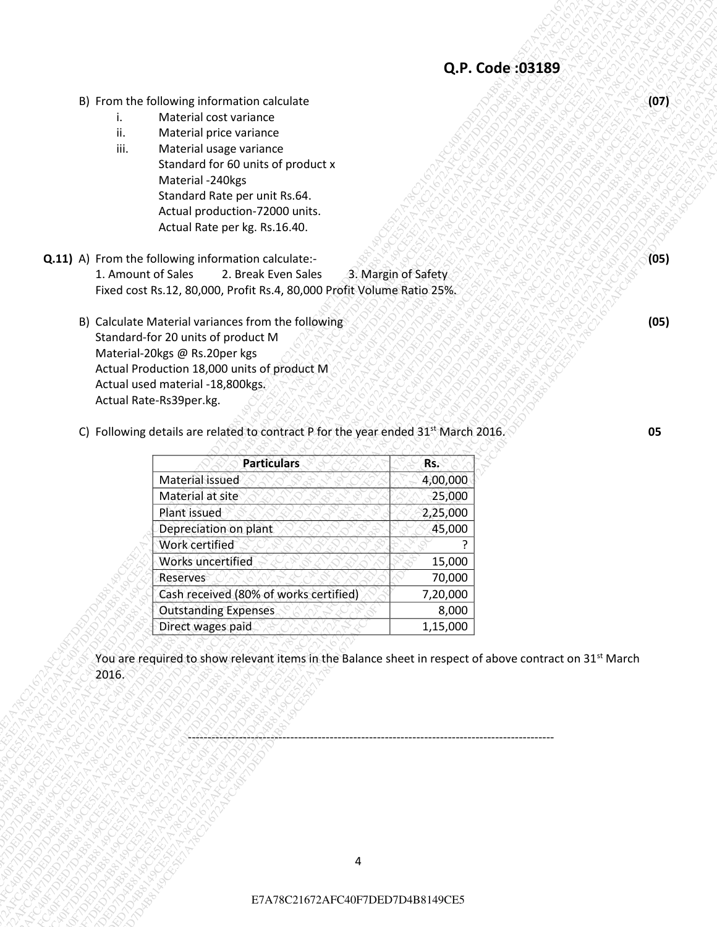- B) From the following information calculate
	- i. Material cost variance
	- ii. Material price variance
	- iii. Material usage variance Standard for 60 units of product x Material -240kgs Standard Rate per unit Rs.64. Actual production-72000 units. Actual Rate per kg. Rs.16.40.
- **Q.11)** A) From the following information calculate:- 1. Amount of Sales 2. Break Even Sales 3. Margin of Safety Fixed cost Rs.12, 80,000, Profit Rs.4, 80,000 Profit Volume Ratio 25%.
	- B) Calculate Material variances from the following Standard-for 20 units of product M Material-20kgs @ Rs.20per kgs Actual Production 18,000 units of product M Actual used material -18,800kgs. Actual Rate-Rs39per.kg.

| B) From the following information calculate<br>Material cost variance<br>i.<br>ii.<br>Material price variance<br>iii.<br>Material usage variance<br>Standard for 60 units of product x<br>Material -240kgs<br>Standard Rate per unit Rs.64.<br>Actual production-72000 units.<br>Actual Rate per kg. Rs.16.40.<br>Q.11) A) From the following information calculate:-<br>3. Margin of Safety<br>1. Amount of Sales<br>2. Break Even Sales<br>Fixed cost Rs.12, 80,000, Profit Rs.4, 80,000 Profit Volume Ratio 25%.<br>B) Calculate Material variances from the following<br>Standard-for 20 units of product M<br>Material-20kgs @ Rs.20per kgs<br>Actual Production 18,000 units of product M<br>Actual used material -18,800kgs.<br>Actual Rate-Rs39per.kg.<br>C) Following details are related to contract P for the year ended 31 <sup>st</sup> March 2016.<br>05<br><b>Particulars</b><br>Rs.<br>Material issued<br>4,00,000<br>Material at site<br>25,000<br>Plant issued<br>2,25,000<br>Depreciation on plant<br>45,000<br>Work certified<br>Works uncertified<br>15,000<br>70,000<br>Reserves<br>Cash received (80% of works certified)<br>7,20,000<br><b>Outstanding Expenses</b><br>8,000<br>Direct wages paid<br>1,15,000<br>You are required to show relevant items in the Balance sheet in respect of above contract on 31 <sup>st</sup> March<br>2016.<br>4<br>E7A78C21672AFC40F7DED7D4B8149CE5 |  |  |      |
|----------------------------------------------------------------------------------------------------------------------------------------------------------------------------------------------------------------------------------------------------------------------------------------------------------------------------------------------------------------------------------------------------------------------------------------------------------------------------------------------------------------------------------------------------------------------------------------------------------------------------------------------------------------------------------------------------------------------------------------------------------------------------------------------------------------------------------------------------------------------------------------------------------------------------------------------------------------------------------------------------------------------------------------------------------------------------------------------------------------------------------------------------------------------------------------------------------------------------------------------------------------------------------------------------------------------------------------------------------------------------------------------------------------|--|--|------|
|                                                                                                                                                                                                                                                                                                                                                                                                                                                                                                                                                                                                                                                                                                                                                                                                                                                                                                                                                                                                                                                                                                                                                                                                                                                                                                                                                                                                                |  |  | (07) |
|                                                                                                                                                                                                                                                                                                                                                                                                                                                                                                                                                                                                                                                                                                                                                                                                                                                                                                                                                                                                                                                                                                                                                                                                                                                                                                                                                                                                                |  |  |      |
|                                                                                                                                                                                                                                                                                                                                                                                                                                                                                                                                                                                                                                                                                                                                                                                                                                                                                                                                                                                                                                                                                                                                                                                                                                                                                                                                                                                                                |  |  |      |
|                                                                                                                                                                                                                                                                                                                                                                                                                                                                                                                                                                                                                                                                                                                                                                                                                                                                                                                                                                                                                                                                                                                                                                                                                                                                                                                                                                                                                |  |  |      |
|                                                                                                                                                                                                                                                                                                                                                                                                                                                                                                                                                                                                                                                                                                                                                                                                                                                                                                                                                                                                                                                                                                                                                                                                                                                                                                                                                                                                                |  |  |      |
|                                                                                                                                                                                                                                                                                                                                                                                                                                                                                                                                                                                                                                                                                                                                                                                                                                                                                                                                                                                                                                                                                                                                                                                                                                                                                                                                                                                                                |  |  |      |
|                                                                                                                                                                                                                                                                                                                                                                                                                                                                                                                                                                                                                                                                                                                                                                                                                                                                                                                                                                                                                                                                                                                                                                                                                                                                                                                                                                                                                |  |  |      |
|                                                                                                                                                                                                                                                                                                                                                                                                                                                                                                                                                                                                                                                                                                                                                                                                                                                                                                                                                                                                                                                                                                                                                                                                                                                                                                                                                                                                                |  |  |      |
|                                                                                                                                                                                                                                                                                                                                                                                                                                                                                                                                                                                                                                                                                                                                                                                                                                                                                                                                                                                                                                                                                                                                                                                                                                                                                                                                                                                                                |  |  |      |
|                                                                                                                                                                                                                                                                                                                                                                                                                                                                                                                                                                                                                                                                                                                                                                                                                                                                                                                                                                                                                                                                                                                                                                                                                                                                                                                                                                                                                |  |  | (05) |
|                                                                                                                                                                                                                                                                                                                                                                                                                                                                                                                                                                                                                                                                                                                                                                                                                                                                                                                                                                                                                                                                                                                                                                                                                                                                                                                                                                                                                |  |  |      |
|                                                                                                                                                                                                                                                                                                                                                                                                                                                                                                                                                                                                                                                                                                                                                                                                                                                                                                                                                                                                                                                                                                                                                                                                                                                                                                                                                                                                                |  |  |      |
|                                                                                                                                                                                                                                                                                                                                                                                                                                                                                                                                                                                                                                                                                                                                                                                                                                                                                                                                                                                                                                                                                                                                                                                                                                                                                                                                                                                                                |  |  |      |
|                                                                                                                                                                                                                                                                                                                                                                                                                                                                                                                                                                                                                                                                                                                                                                                                                                                                                                                                                                                                                                                                                                                                                                                                                                                                                                                                                                                                                |  |  | (05) |
|                                                                                                                                                                                                                                                                                                                                                                                                                                                                                                                                                                                                                                                                                                                                                                                                                                                                                                                                                                                                                                                                                                                                                                                                                                                                                                                                                                                                                |  |  |      |
|                                                                                                                                                                                                                                                                                                                                                                                                                                                                                                                                                                                                                                                                                                                                                                                                                                                                                                                                                                                                                                                                                                                                                                                                                                                                                                                                                                                                                |  |  |      |
|                                                                                                                                                                                                                                                                                                                                                                                                                                                                                                                                                                                                                                                                                                                                                                                                                                                                                                                                                                                                                                                                                                                                                                                                                                                                                                                                                                                                                |  |  |      |
|                                                                                                                                                                                                                                                                                                                                                                                                                                                                                                                                                                                                                                                                                                                                                                                                                                                                                                                                                                                                                                                                                                                                                                                                                                                                                                                                                                                                                |  |  |      |
|                                                                                                                                                                                                                                                                                                                                                                                                                                                                                                                                                                                                                                                                                                                                                                                                                                                                                                                                                                                                                                                                                                                                                                                                                                                                                                                                                                                                                |  |  |      |
|                                                                                                                                                                                                                                                                                                                                                                                                                                                                                                                                                                                                                                                                                                                                                                                                                                                                                                                                                                                                                                                                                                                                                                                                                                                                                                                                                                                                                |  |  |      |
|                                                                                                                                                                                                                                                                                                                                                                                                                                                                                                                                                                                                                                                                                                                                                                                                                                                                                                                                                                                                                                                                                                                                                                                                                                                                                                                                                                                                                |  |  |      |
|                                                                                                                                                                                                                                                                                                                                                                                                                                                                                                                                                                                                                                                                                                                                                                                                                                                                                                                                                                                                                                                                                                                                                                                                                                                                                                                                                                                                                |  |  |      |
|                                                                                                                                                                                                                                                                                                                                                                                                                                                                                                                                                                                                                                                                                                                                                                                                                                                                                                                                                                                                                                                                                                                                                                                                                                                                                                                                                                                                                |  |  |      |
|                                                                                                                                                                                                                                                                                                                                                                                                                                                                                                                                                                                                                                                                                                                                                                                                                                                                                                                                                                                                                                                                                                                                                                                                                                                                                                                                                                                                                |  |  |      |
|                                                                                                                                                                                                                                                                                                                                                                                                                                                                                                                                                                                                                                                                                                                                                                                                                                                                                                                                                                                                                                                                                                                                                                                                                                                                                                                                                                                                                |  |  |      |
|                                                                                                                                                                                                                                                                                                                                                                                                                                                                                                                                                                                                                                                                                                                                                                                                                                                                                                                                                                                                                                                                                                                                                                                                                                                                                                                                                                                                                |  |  |      |
|                                                                                                                                                                                                                                                                                                                                                                                                                                                                                                                                                                                                                                                                                                                                                                                                                                                                                                                                                                                                                                                                                                                                                                                                                                                                                                                                                                                                                |  |  |      |
|                                                                                                                                                                                                                                                                                                                                                                                                                                                                                                                                                                                                                                                                                                                                                                                                                                                                                                                                                                                                                                                                                                                                                                                                                                                                                                                                                                                                                |  |  |      |
|                                                                                                                                                                                                                                                                                                                                                                                                                                                                                                                                                                                                                                                                                                                                                                                                                                                                                                                                                                                                                                                                                                                                                                                                                                                                                                                                                                                                                |  |  |      |
|                                                                                                                                                                                                                                                                                                                                                                                                                                                                                                                                                                                                                                                                                                                                                                                                                                                                                                                                                                                                                                                                                                                                                                                                                                                                                                                                                                                                                |  |  |      |
|                                                                                                                                                                                                                                                                                                                                                                                                                                                                                                                                                                                                                                                                                                                                                                                                                                                                                                                                                                                                                                                                                                                                                                                                                                                                                                                                                                                                                |  |  |      |
|                                                                                                                                                                                                                                                                                                                                                                                                                                                                                                                                                                                                                                                                                                                                                                                                                                                                                                                                                                                                                                                                                                                                                                                                                                                                                                                                                                                                                |  |  |      |
|                                                                                                                                                                                                                                                                                                                                                                                                                                                                                                                                                                                                                                                                                                                                                                                                                                                                                                                                                                                                                                                                                                                                                                                                                                                                                                                                                                                                                |  |  |      |
|                                                                                                                                                                                                                                                                                                                                                                                                                                                                                                                                                                                                                                                                                                                                                                                                                                                                                                                                                                                                                                                                                                                                                                                                                                                                                                                                                                                                                |  |  |      |
|                                                                                                                                                                                                                                                                                                                                                                                                                                                                                                                                                                                                                                                                                                                                                                                                                                                                                                                                                                                                                                                                                                                                                                                                                                                                                                                                                                                                                |  |  |      |
|                                                                                                                                                                                                                                                                                                                                                                                                                                                                                                                                                                                                                                                                                                                                                                                                                                                                                                                                                                                                                                                                                                                                                                                                                                                                                                                                                                                                                |  |  |      |
|                                                                                                                                                                                                                                                                                                                                                                                                                                                                                                                                                                                                                                                                                                                                                                                                                                                                                                                                                                                                                                                                                                                                                                                                                                                                                                                                                                                                                |  |  |      |
|                                                                                                                                                                                                                                                                                                                                                                                                                                                                                                                                                                                                                                                                                                                                                                                                                                                                                                                                                                                                                                                                                                                                                                                                                                                                                                                                                                                                                |  |  |      |
|                                                                                                                                                                                                                                                                                                                                                                                                                                                                                                                                                                                                                                                                                                                                                                                                                                                                                                                                                                                                                                                                                                                                                                                                                                                                                                                                                                                                                |  |  |      |
|                                                                                                                                                                                                                                                                                                                                                                                                                                                                                                                                                                                                                                                                                                                                                                                                                                                                                                                                                                                                                                                                                                                                                                                                                                                                                                                                                                                                                |  |  |      |
|                                                                                                                                                                                                                                                                                                                                                                                                                                                                                                                                                                                                                                                                                                                                                                                                                                                                                                                                                                                                                                                                                                                                                                                                                                                                                                                                                                                                                |  |  |      |
|                                                                                                                                                                                                                                                                                                                                                                                                                                                                                                                                                                                                                                                                                                                                                                                                                                                                                                                                                                                                                                                                                                                                                                                                                                                                                                                                                                                                                |  |  |      |
|                                                                                                                                                                                                                                                                                                                                                                                                                                                                                                                                                                                                                                                                                                                                                                                                                                                                                                                                                                                                                                                                                                                                                                                                                                                                                                                                                                                                                |  |  |      |
|                                                                                                                                                                                                                                                                                                                                                                                                                                                                                                                                                                                                                                                                                                                                                                                                                                                                                                                                                                                                                                                                                                                                                                                                                                                                                                                                                                                                                |  |  |      |
|                                                                                                                                                                                                                                                                                                                                                                                                                                                                                                                                                                                                                                                                                                                                                                                                                                                                                                                                                                                                                                                                                                                                                                                                                                                                                                                                                                                                                |  |  |      |
|                                                                                                                                                                                                                                                                                                                                                                                                                                                                                                                                                                                                                                                                                                                                                                                                                                                                                                                                                                                                                                                                                                                                                                                                                                                                                                                                                                                                                |  |  |      |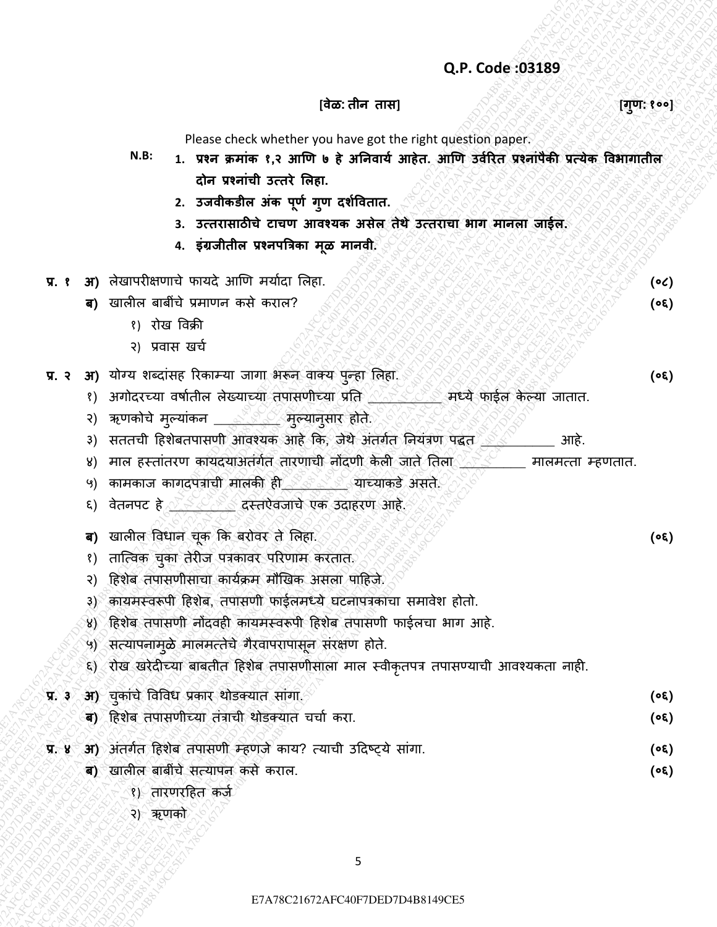#### **[वȯळ: तीन तास] [गण: ु १००]**

**(०६)**

**(०६)**

Please check whether you have got the right question paper.

- CR. Code 33189<br>
R.B. 1 correspondence contained the active contained the contained in contact of the contact of the stress of the stress of the stress of the stress of the stress of the stress of the stress of the stress (a)  $\frac{1}{2}R^2 + 4R^2 + 4R^2 + 4R^2 + 4R^2 + 4R^2 + 4R^2 + 4R^2 + 4R^2 + 4R^2 + 4R^2 + 4R^2 + 4R^2 + 4R^2 + 4R^2 + 4R^2 + 4R^2 + 4R^2 + 4R^2 + 4R^2 + 4R^2 + 4R^2 + 4R^2 + 4R^2 + 4R^2 + 4R^2 + 4R^2 + 4R^2 + 4R^2 + 4R^2 + 4R^2 + 4R^2 + 4R^2 + 4R^2 + 4R^2 +$ Q,P. Code 303189<br>
(Active check whether who have not experimental paper.<br>
N.B. 1. we samile it and the \$ afford and, and 5814 with SHOT weekly which we have not<br>  $\frac{1}{2}$  and  $\frac{1}{2}$  and  $\frac{1}{2}$  and  $\frac{1}{2}$  and  $\frac$ Q.P. Code 393599<br>
Moore check whether yield method in earth in the properties properties and the series and the series and the series and the series and the series and the series and the series and the series and the seri E7A7. Code:333.89<br>
Teste cock whether to the first arguments about the results and the results and the results are not about the results and the results are about the results and the results are about the results and the Q.P. Code :033.189<br>  $(2P, Code: 033.189$ <br>  $(3P, 144)$ <br>  $(4P, 147)$ <br>  $(4P, 148)$ <br>  $(4P, 149)$ <br>  $(4P, 149)$ <br>  $(4P, 149)$ <br>  $(4P, 149)$ <br>  $2. 540$ endin and the result of 1991.<br>  $2. 540$ endin and the result of 1991.<br>  $2. 480$ endin Q.P. Code :033.189<br>  $(2P, Code: 033.189$ <br>  $(3P, 144)$ <br>  $(4P, 147)$ <br>  $(4P, 148)$ <br>  $(4P, 149)$ <br>  $(4P, 149)$ <br>  $(4P, 149)$ <br>  $(4P, 149)$ <br>  $2. 540$ endin and the result of 1991.<br>  $2. 540$ endin and the result of 1991.<br>  $2. 480$ endin Q.P. Code :033.189<br>  $(2P, Code: 033.189$ <br>  $(3P, 144)$ <br>  $(4P, 147)$ <br>  $(4P, 148)$ <br>  $(4P, 149)$ <br>  $(4P, 149)$ <br>  $(4P, 149)$ <br>  $(4P, 149)$ <br>  $2. 540$ endin and the result of 1991.<br>  $2. 540$ endin and the result of 1991.<br>  $2. 480$ endin Q.P. Code :033.189<br>  $(2P, Code: 033.189$ <br>  $(3P, 144)$ <br>  $(4P, 147)$ <br>  $(4P, 148)$ <br>  $(4P, 149)$ <br>  $(4P, 149)$ <br>  $(4P, 149)$ <br>  $(4P, 149)$ <br>  $2. 540$ endin and the result of 1991.<br>  $2. 540$ endin and the result of 1991.<br>  $2. 480$ endin Q.P. Code :033.189<br>  $(2P, Code: 033.189$ <br>  $(3P, 144)$ <br>  $(4P, 147)$ <br>  $(4P, 148)$ <br>  $(4P, 149)$ <br>  $(4P, 149)$ <br>  $(4P, 149)$ <br>  $(4P, 149)$ <br>  $2. 540$ endin and the result of 1991.<br>  $2. 540$ endin and the result of 1991.<br>  $2. 480$ endin Q.P. Code :033.189<br>  $(2P, Code: 033.189$ <br>  $(3P, 144)$ <br>  $(4P, 147)$ <br>  $(4P, 148)$ <br>  $(4P, 149)$ <br>  $(4P, 149)$ <br>  $(4P, 149)$ <br>  $(4P, 149)$ <br>  $2. 540$ endin and the result of 1991.<br>  $2. 540$ endin and the result of 1991.<br>  $2. 480$ endin Q.P. Code :033.189<br>  $(2P, Code: 033.189$ <br>  $(3P, 144)$ <br>  $(4P, 147)$ <br>  $(4P, 148)$ <br>  $(4P, 149)$ <br>  $(4P, 149)$ <br>  $(4P, 149)$ <br>  $(4P, 149)$ <br>  $2. 540$ endin and the result of 1991.<br>  $2. 540$ endin and the result of 1991.<br>  $2. 480$ endin Q.P. Code :033.189<br>  $(2P, Code: 033.189$ <br>  $(3P, 144)$ <br>  $(4P, 147)$ <br>  $(4P, 148)$ <br>  $(4P, 149)$ <br>  $(4P, 149)$ <br>  $(4P, 149)$ <br>  $(4P, 149)$ <br>  $2. 540$ endin and the result of 1991.<br>  $2. 540$ endin and the result of 1991.<br>  $2. 480$ endin CR. Code 03359<br>
These exceed were received and map<br>  $\frac{1}{2}$  are mostly  $\tau_1$  are mostly  $\tau_2$  are mostly and the<br>  $\tau_2$  are mostly  $\tau_1$  are different and map<br>  $\tau_2$  are mostly  $\tau_3$  are different and a second and E7A278C21672AFC40F7DED7D4B8149CE5E7AFC40F7D4B8149CE5E7A78CE5E7A78CE5E7A78CE5E7AFC40F7D4B8149CE5E7A78CE5E7AFC40F7D4B8149CE5E7AFC40F6DED7D4B8149CE5E7AFC40F6DED7D4B8149CE5E7AFC40F6DED7D4B8149CE5E7AFC40F7D4B8149CE5E7AFC40F7D4 E7A78C21672AFC40F7DED7D4B8149CE5E7A78C21672AFC40F7DED7D4B8149CE5E7A78C21672AFC40F7DED7D4B8149CE5E7A78C21672AFC40F7DED7D4B8149CE5E7A78C21672AFC40F7DED7D4B8149CE5E7A78C21672AFC40F7DED7D4B8149CE5 Q.P. Code c93189<br>
(Rever check whether with the subset of the phrophospher contents of the result of the subset of the subset of the subset of the subset of the subset of the subset of the subset of the subset of the subs Q.P. Code 393189<br>
Pieste check week metalls and the summer and any summer and the summer and the summer and the summer and the summer and the summer and the summer and the summer and the summer and the summer and the summ E7A78C21672AFC40F7DED7D4B8149CE5E7A78C21672AFC40F7DED7D4B8149CE5E7A78C21672AFC40F7DED7D4B8149CE5E7A78C21672AFC40F7DED7D4B8149CE5E7A78C21672AFC40F7DED7D4B8149CE5E7A78C21672AFC40F7DED7D4B8149CE5 **CAP. Code (33.189**<br>
<sup>(A</sup>ction check where we applied to provide properties and the properties and the properties are the properties and the control of the control of the control of the control of the control of the contr N.B: 1. प्रश्न क्रमांक १,२ आणि ७ हे अनिवार्य आहेत. आणि उर्वरित प्रश्नांपैकी प्रत्येक विभागातील **दोन प्रश्नाांची उत्तिȯ ललहा.**
	- **2. उजवीकडील अांक पणय ग ू ण दर्यववतात. ु**
	- **3. उत्तिासाठीचȯ टाचण आवश्र्क असȯल तȯथȯ उत्तिाचा भाग मानला जाईल.**
	- **4. इांग्रजीतील प्रश्नपत्रिका मळ मानवी. ू**
	- **प्र. १ अ)** लȯखापरीक्षणाचȯ फायदȯ आणण मयाादा ललहा. **(०८)**
		- **ब)** खालील बाबींचे प्रमाणन कसे कराल?
			- १) रोख विक्री
			- २) प्रवास खर्च
	- **प्र. २ अ)** यȪग्य शबदाींसह ररकाम्या जागा भǾन िाक्य पन्हा ललहा. ु **(०६)**
		- १) अगोदरच्या वर्षातील लेख्याच्या तपासणीच्या प्रति <<<<<<<<<>> . मध्ये फाईल केल्या जातात.
		- २) ऋणकोचे मुल्यांकन \_\_\_ se मुल्यानुसार होते.
		- ३) सततची हिशेबतपासणी आवश्यक आहे कि, जेथे अंतर्गत नियंत्रण पद्धत 2000 2000 आहे.
		- ४) माल हस्तांतरण कायदयाअतंर्गत तारणाची नोंदणी केली जाते तिला 2000 मालमत्ता म्हणतात.
		- ५) कामकाज कागदपत्राची मालकी ही ∑े ॄे याच्याकडे असते.
		- ६) वेतनपट हे <u>इंटर्वेट दस्तऐवजाचे एक उदाहरण आहे.</u>
		- **ब)** खालील विधान चुक कि बरोवर ते लिहा. ्रे ४ के बरो के साथ स्वास्थ्य स्वास्थ्य (οε)
		- १) तात्विक चुका तेरीज पत्रकावर परिणाम करतात.
		- २) हिशेब तपासणीसाचा कार्यक्रम मौखिक असला पाहिजे.
		- ३) कायमस्वरूपी हिशेब, तपासणी फाईलमध्ये घटनापत्रकाचा समावेश होतो.
		- ४) हिशेब तपासणी नोंदवही कायमस्वरूपी हिशेब तपासणी फाईलचा भाग आहे.
		- ५) सत्यापनामळे मालमत्तेचे गैरवापरापासून संरक्षण होते.
		- ६) रोख खरेदीच्या बाबतीत हिशेब तपासणीसाला माल स्वीकृतपत्र तपासण्याची आवश्यकता नाही.

# **प्र. ३ अ)** चुकाींचȯ विविध प्रकार थȪडक्यात साींगा. **(०६)**

- **ब)** हहशȯब तपासण च्या तींत्राच थȪडक्यात चचाा करा. **(०६)**
- प्र. ४ अ) अंतर्गत हिशेब तपासणी म्हणजे काय? त्याची उदिष्ट्ये सांगा. **(०६)** (०६)
	- **ब)** खालील बाबींचे सत्यापन कसे कराल.
		- १) तारणरहहत कजा
		- २) ऋणको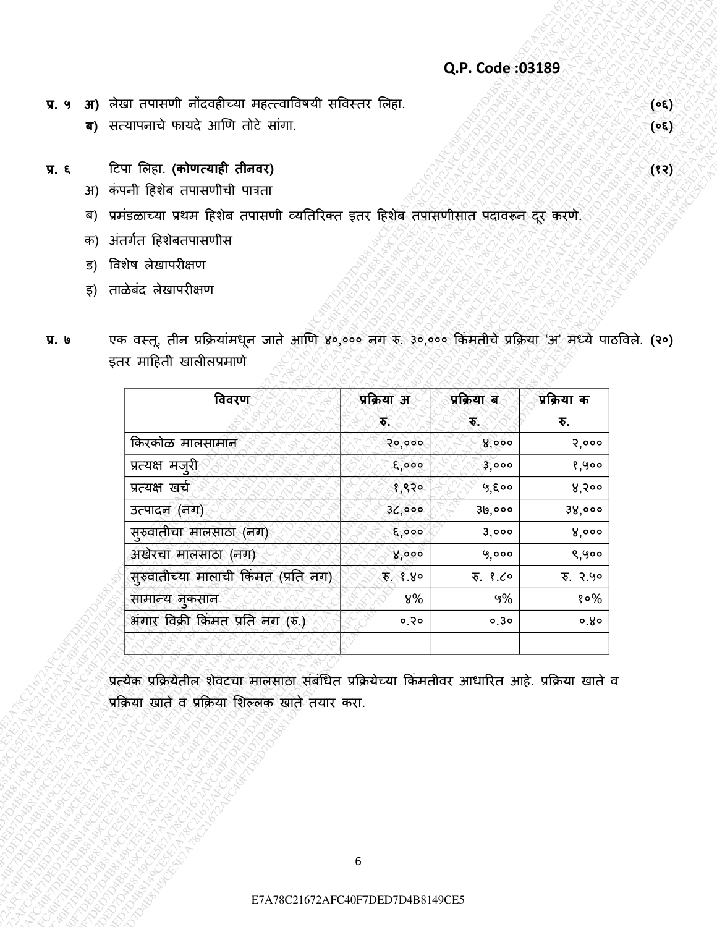- **प्र. ५ अ)** लȯखा तपासण नोंदिहीच्या महत्त्िाविर्य सविसतर ललहा. **(०६)**
	- **ब)** सत्यापनाचȯ फायदȯ आणण तȪटȯ साींगा. **(०६)**
- **प्र. ६** हटपा ललहा. **(कोणत्र्ाही तीनवि) (१२)**
	- अ) कंपनी हिशेब तपासणीची पात्रता
	- ब) प्रमंडळाच्या प्रथम हिशेब तपासणी व्यतिरिक्त इतर हिशेब तपासणीसात पदावरून दूर करणे.
	- क) अंतर्गत हिशेबतपासणीस
	- ड) विशेष लेखापरीक्षण
	- इ) ताळेबंद लेखापरीक्षण
- **प्र. ७** एक वस्तू, तीन प्रक्रियामधून जाते आणि ४०,००० नग रु. ३०,००० किमतीचे प्रक्रिया 'अ' मध्ये पाठविले. **(२०)** इतर माहिती खालीलप्रमाणे

| <b>अ)</b> लेखा तपासणी नोंदवहीच्या महत्त्वाविषयी सविस्तर लिहा.<br>ब) सत्यापनाचे फायदे आणि तोटे सांगा.<br>टिपा लिहा. (कोणत्याही तीनवर)<br>कंपनी हिशेब तपासणीची पात्रता<br>3f)<br>प्रमंडळाच्या प्रथम हिशेब तपासणी व्यतिरिक्त इतर हिशेब तपासणीसात पदावरून दूर करणे.<br>ब)<br>अंतर्गत हिशेबतपासणीस<br>क)<br>विशेष लेखापरीक्षण<br>ਤ)<br>ताळेबंद लेखापरीक्षण<br>इ) |
|-------------------------------------------------------------------------------------------------------------------------------------------------------------------------------------------------------------------------------------------------------------------------------------------------------------------------------------------------------------|
|                                                                                                                                                                                                                                                                                                                                                             |
|                                                                                                                                                                                                                                                                                                                                                             |
|                                                                                                                                                                                                                                                                                                                                                             |
|                                                                                                                                                                                                                                                                                                                                                             |
|                                                                                                                                                                                                                                                                                                                                                             |
|                                                                                                                                                                                                                                                                                                                                                             |
|                                                                                                                                                                                                                                                                                                                                                             |
|                                                                                                                                                                                                                                                                                                                                                             |
| ক্<br>ेक्<br>₹.                                                                                                                                                                                                                                                                                                                                             |
| किरकोळ मालसामान<br>8,000<br>२०,०००<br>3,000                                                                                                                                                                                                                                                                                                                 |
| प्रत्यक्ष मज़्री<br>E,000<br>3,000<br>१,५००                                                                                                                                                                                                                                                                                                                 |
| प्रत्यक्ष खर्च<br>५,६००<br>४,२००<br>१,९२०                                                                                                                                                                                                                                                                                                                   |
| उत्पादल (नग)<br>30,000<br>30,000<br>38,000<br>सुरुवातीचा मालसाठा (नग)<br>E, 000<br>3,000<br>8,000                                                                                                                                                                                                                                                           |
| अखेरचा मालसाठा (नग)<br>8,000<br>9,000<br>९,५००                                                                                                                                                                                                                                                                                                              |
| सुरुवातीच्या मालाची किंमत (प्रति नग)<br>x, 8.8<br>रु. १.८०<br>रु. २.५०                                                                                                                                                                                                                                                                                      |
| सामान्य नुकसान<br>५%<br>४%<br>१०%                                                                                                                                                                                                                                                                                                                           |
| भंगार विक्री किमत प्रति नग (रु.)<br>0.50<br>0,30<br>o Ro                                                                                                                                                                                                                                                                                                    |
|                                                                                                                                                                                                                                                                                                                                                             |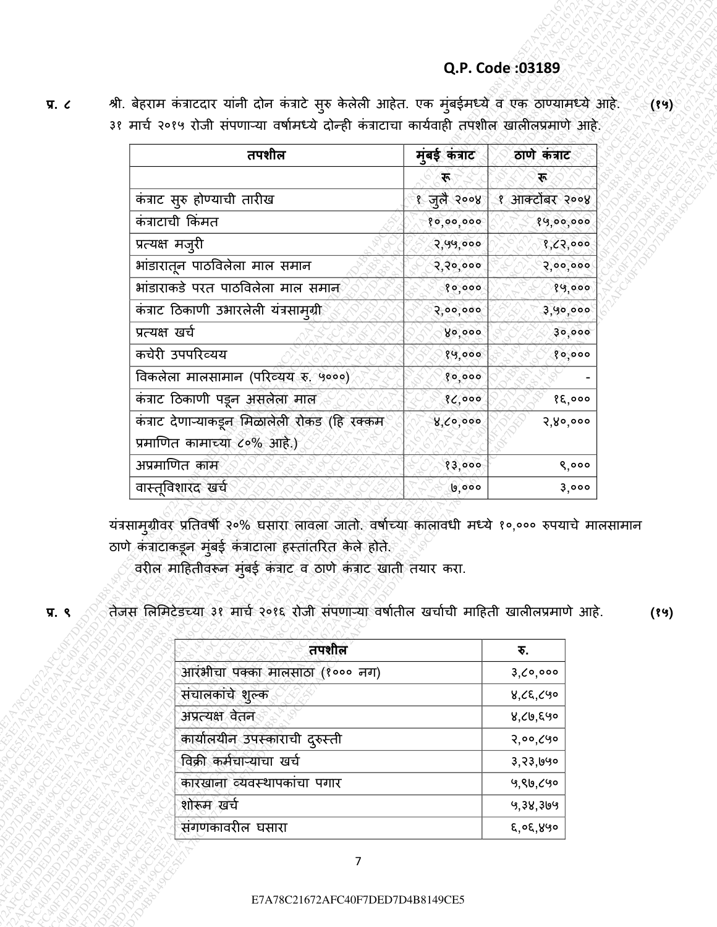| श्री. बेहराम कंत्राटदार यांनी दोन कंत्राटे सुरु केलेली आहेत. एक मुंबईमध्ये व एक ठाण्यामध्ये आहे.<br>३१ मार्च २०१५ रोजी संपणाऱ्या वर्षामध्ये दोन्ही कंत्राटाचा कार्यवाही तपशील खालीलप्रमाणे आहे. |                    |                        |
|-------------------------------------------------------------------------------------------------------------------------------------------------------------------------------------------------|--------------------|------------------------|
|                                                                                                                                                                                                 |                    |                        |
| तपशील                                                                                                                                                                                           | मुंबई कंत्राट      | ठाणे कंत्राट           |
|                                                                                                                                                                                                 | ्रह                | 不                      |
| कंत्राट सुरु होण्याची तारीख                                                                                                                                                                     | १ जुलै २००४        | १ आक्टोंबर २००४        |
| कंत्राटाची किंमत                                                                                                                                                                                | 80,00,000          | 89,00,000              |
| प्रत्यक्ष मज़्री                                                                                                                                                                                | 2,99,000           | 8, 65,000              |
| भांडारातून पाठविलेला माल समान<br>भांडाराकडे परत पाठविलेला माल समान                                                                                                                              | २,२०,०००           | 2,00,000               |
| कंत्राट ठिकाणी उभारलेली यंत्रसाम्ग्री                                                                                                                                                           | 80,000<br>2,00,000 | 89,000<br>3,90,000     |
| प्रत्यक्ष खर्च                                                                                                                                                                                  | 80,000             | 30,000                 |
| कचेरी उपपरिव्यय                                                                                                                                                                                 | 89,000             | 80,000                 |
| विकलेला मालसामान (परिव्यय रु. ५०००)                                                                                                                                                             | 80,000             |                        |
| कंत्राट ठिकाणी पडून असलेला माल                                                                                                                                                                  | 86,000             | 85,000                 |
| कंत्राट देणाऱ्याकडून मिळालेली रोकड (हि रक्कम                                                                                                                                                    | 8, 6, 000          | 3,80,000               |
| प्रमाणित कामाच्या ८०% आहे.)                                                                                                                                                                     |                    |                        |
| अप्रमाणित काम                                                                                                                                                                                   | 83,000             | 8,000                  |
| वास्तूविशारद खर्च                                                                                                                                                                               | 0,000              | ३,०००                  |
| यंत्रसाम्ग्ग्रीवर प्रतिवर्षी २०% घसारा लावला जातो. वर्षाच्या कालावधी मध्ये १०,००० रुपयाचे मालसामान<br>ठाणे कंत्राटाकडून मुंबई कंत्राटाला हस्तांतरित केले होते.                                  |                    |                        |
| वरील माहितीवरून मुंबई कंत्राट व ठाणे कंत्राट खाती तयार करा.<br>तेजस लिमिटेडच्या ३१ मार्च २०१६ रोजी संपणाऱ्या वर्षातील खर्चाची माहिती खालीलप्रमाणे आहे.                                          |                    |                        |
| तपशील                                                                                                                                                                                           |                    | ক.                     |
| आरंभीचा पक्का मालसाठा (१००० नग)                                                                                                                                                                 |                    | 3,0,000                |
| संचालकांचे शुल्क                                                                                                                                                                                |                    | ४,८६,८५०               |
| अप्रत्यक्ष वेतन                                                                                                                                                                                 |                    | ४,८७,६५०               |
| कार्यालयीन उपस्काराची दुरुस्ती                                                                                                                                                                  |                    | २,००,८५०               |
| विक्री कर्मचाऱ्याचा खर्च                                                                                                                                                                        |                    | ३,२३,७५०               |
| कारखाना व्यवस्थापकांचा पगार<br>शोरूम खर्च                                                                                                                                                       |                    | 9, 80, 690<br>५,३४,३७५ |

| तपशील                           | रु.      |
|---------------------------------|----------|
| आरंभीचा पक्का मालसाठा (१००० नग) | 3,0,000  |
| संचालकांचे शुल्क                | ४,८६,८५० |
| अप्रत्यक्ष वेतन                 | ४,८७,६५० |
| कार्यालयीन उपस्काराची दुरुस्ती  | २,००,८५० |
| विक्री कर्मचाऱ्याचा खर्च        | ३,२३,७५० |
| कारखाना व्यवस्थापकाचा पंगार     | ५,९७,८५० |
| शोरूम खर्च                      | ५,३४,३७५ |
| सगणकावरील घसारा                 | ६,०६,४५० |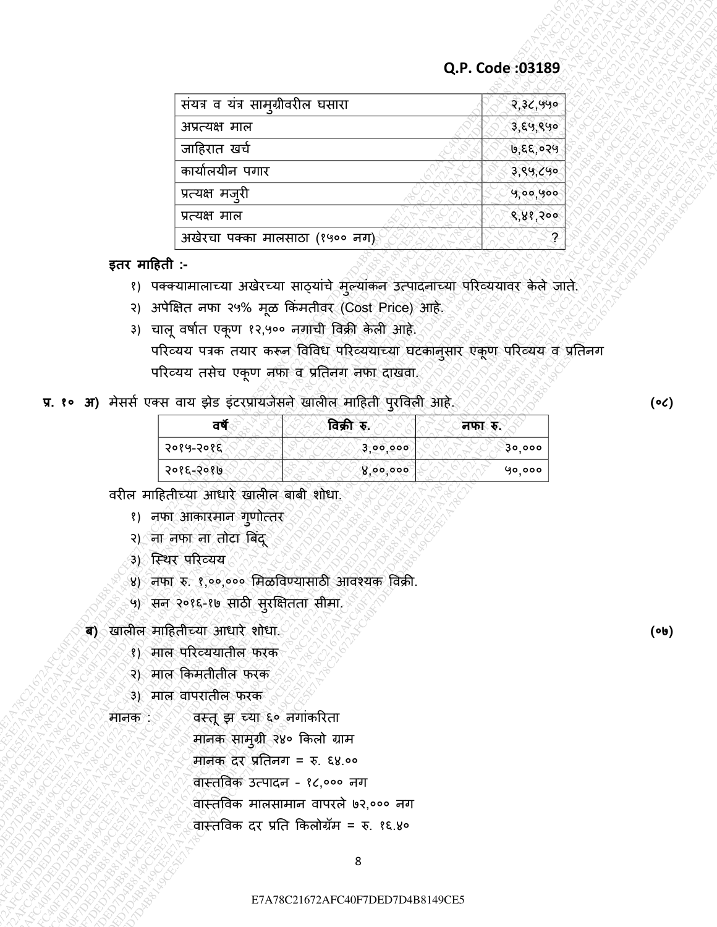|        |                                                                                                                                                                                                                                                                                                                                                      |                                                                                                                                                                                                                                                                                                                            | Q.P. Code: 03189 |
|--------|------------------------------------------------------------------------------------------------------------------------------------------------------------------------------------------------------------------------------------------------------------------------------------------------------------------------------------------------------|----------------------------------------------------------------------------------------------------------------------------------------------------------------------------------------------------------------------------------------------------------------------------------------------------------------------------|------------------|
|        | संयत्र व यंत्र सामुग्रीवरील घसारा                                                                                                                                                                                                                                                                                                                    |                                                                                                                                                                                                                                                                                                                            | २,३८,५५०         |
|        | अप्रत्यक्ष माल                                                                                                                                                                                                                                                                                                                                       |                                                                                                                                                                                                                                                                                                                            | ३,६५,९५०         |
|        | जाहिरात खर्च                                                                                                                                                                                                                                                                                                                                         |                                                                                                                                                                                                                                                                                                                            | ७,६६,०२५         |
|        | कार्यालयीन पगार                                                                                                                                                                                                                                                                                                                                      |                                                                                                                                                                                                                                                                                                                            | 3,89,090         |
|        | प्रत्यक्ष मजुरी                                                                                                                                                                                                                                                                                                                                      |                                                                                                                                                                                                                                                                                                                            | 9,00,900         |
|        | प्रत्यक्ष माल<br>अखेरचा पक्का मालसाठा (१५०० नग)                                                                                                                                                                                                                                                                                                      |                                                                                                                                                                                                                                                                                                                            | 8,88,200         |
|        |                                                                                                                                                                                                                                                                                                                                                      | १) पक्क्यामालाच्या अखेरच्या साठ्यांचे मुल्यांकल उत्पादलाच्या परिव्ययावर केले जाते.<br>२) अपेक्षित नफा २५% मूळ किंमतीवर (Cost Price) आहे.<br>3) चालू वर्षात एकूण १२,५०० नगाची विक्री केली आहे.<br>परिव्यय पत्रक तयार करून विविध परिव्ययाच्या घटकानुसार एकूण परिव्यय व प्रतिनग<br>परिव्यय तसेच एकूण नफा व प्रतिनग नफा दाखवा. |                  |
|        |                                                                                                                                                                                                                                                                                                                                                      | प्र. १० अ) मेसर्स एक्स वाय झेड इंटरप्रायजेसने खालील माहिती पुरविली आहे.                                                                                                                                                                                                                                                    |                  |
|        | वर्षे                                                                                                                                                                                                                                                                                                                                                | विक्री रु.                                                                                                                                                                                                                                                                                                                 | नफा रु.          |
|        | २०१५-२०१६                                                                                                                                                                                                                                                                                                                                            | 3,00,000                                                                                                                                                                                                                                                                                                                   | ३०,०००           |
|        | २०१६-२०१७                                                                                                                                                                                                                                                                                                                                            | 8,00,000                                                                                                                                                                                                                                                                                                                   | 90,000           |
| मानक : | १) नफा आकारमान गुणोत्तर<br>२) ना नफा ना तोटा बिंदू<br>३) स्थिर परिव्यय<br>५) सन २०१६-१७ साठी सुरक्षितता सीमा.<br>ब) खालील माहितीच्या आधारे शोधा.<br>१) माल परिव्ययातील फरक<br>२) माल किमतीतील फरक<br>3) माल वापरातील फरक<br>वस्तू झ च्या ६० नगांकरिता<br>मानक सामुग्री २४० किलो ग्राम<br>मानक दर प्रतिनग = रु. ६४.००<br>वास्तविक उत्पादन - १८,००० नग | ४) नफा रु. १,००,००० मिळविण्यासाठी आवश्यक विक्री.<br>वॉस्तविक मालसामान वापरले ७२,००० नग                                                                                                                                                                                                                                     |                  |
|        |                                                                                                                                                                                                                                                                                                                                                      | वास्तविक दर प्रति किलोग्रॅम = रु. १६.४०<br>8                                                                                                                                                                                                                                                                               |                  |

- १) पक्क्यामालाच्या अखेरच्या साठ्यांचे मुल्यांकन उत्पादनाच्या परिव्ययावर केले जाते.
- २) अपेक्षित नफा २५% मूळ किंमतीवर (Cost Price) आहे.
- ३) चालू वर्षात एकूण १२,५०० नगाची विक्री केली आहे.

# प्र. १० अ) मेसर्स एक्स वाय झेड इंटरप्रायजेसने खालील माहिती पुरविली आहे.

| वर्षे     | विक्री   | .ক.<br>ॅनफा⊱ |
|-----------|----------|--------------|
| २०१५-२०१६ | 3,00,000 | ३०,०००       |
| २०१६-२०१७ | 8,00,000 | ५०,०००       |

- २) ना नफा ना तोटा बिंदू
- ३) स्थिर परिव्यय
- ४) नफा रु. १,००,००० मिळविण्यासाठी आवश्यक विक्री.
- ५) सन २०१६-१७ साठी सुरक्षितता सीमा.
- **ब)** खालील माहितीच्या आधारे शोधा.
	- १) माल परिव्ययातील फरक
	- २) माल किमतीतील फरक
	- ३) माल वापरातील फरक
	-